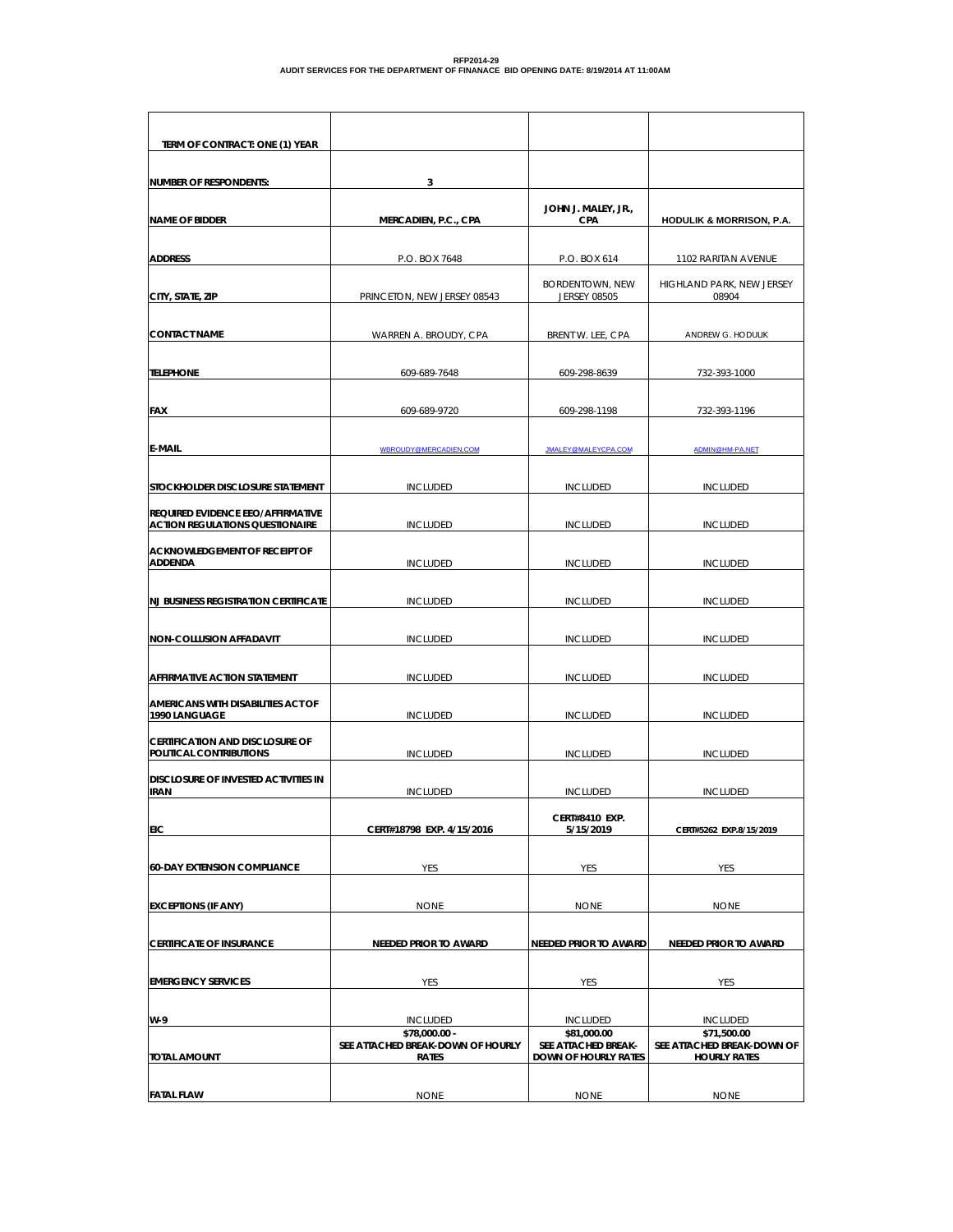| TERM OF CONTRACT: ONE (1) YEAR                                                     |                                                                    |                                                                   |                                                                  |
|------------------------------------------------------------------------------------|--------------------------------------------------------------------|-------------------------------------------------------------------|------------------------------------------------------------------|
| <b>NUMBER OF RESPONDENTS:</b>                                                      | 3                                                                  |                                                                   |                                                                  |
|                                                                                    |                                                                    | JOHN J. MALEY, JR.,                                               |                                                                  |
| <b>NAME OF BIDDER</b>                                                              | MERCADIEN, P.C., CPA                                               | <b>CPA</b>                                                        | <b>HODULIK &amp; MORRISON, P.A.</b>                              |
| <b>ADDRESS</b>                                                                     | P.O. BOX 7648                                                      | P.O. BOX 614                                                      | 1102 RARITAN AVENUE                                              |
| CITY, STATE, ZIP                                                                   | PRINCETON, NEW JERSEY 08543                                        | <b>BORDENTOWN, NEW</b><br><b>JERSEY 08505</b>                     | HIGHLAND PARK, NEW JERSEY<br>08904                               |
| <b>CONTACT NAME</b>                                                                | WARREN A. BROUDY, CPA                                              | BRENT W. LEE, CPA                                                 | ANDREW G. HODULIK                                                |
| <b>TELEPHONE</b>                                                                   | 609-689-7648                                                       | 609-298-8639                                                      | 732-393-1000                                                     |
| <b>FAX</b>                                                                         | 609-689-9720                                                       | 609-298-1198                                                      | 732-393-1196                                                     |
|                                                                                    |                                                                    |                                                                   |                                                                  |
| E-MAIL                                                                             | WBROUDY@MERCADIEN.COM                                              | JMALEY@MALEYCPA.COM                                               | ADMIN@HM-PA.NET                                                  |
| STOCKHOLDER DISCLOSURE STATEMENT                                                   | <b>INCLUDED</b>                                                    | <b>INCLUDED</b>                                                   | <b>INCLUDED</b>                                                  |
| <b>REQUIRED EVIDENCE EEO/AFFIRMATIVE</b><br><b>ACTION REGULATIONS QUESTIONAIRE</b> | <b>INCLUDED</b>                                                    | <b>INCLUDED</b>                                                   | <b>INCLUDED</b>                                                  |
| <b>ACKNOWLEDGEMENT OF RECEIPT OF</b><br><b>ADDENDA</b>                             | <b>INCLUDED</b>                                                    | <b>INCLUDED</b>                                                   | <b>INCLUDED</b>                                                  |
| <b>NJ BUSINESS REGISTRATION CERTIFICATE</b>                                        | <b>INCLUDED</b>                                                    | <b>INCLUDED</b>                                                   | <b>INCLUDED</b>                                                  |
| <b>NON-COLLUSION AFFADAVIT</b>                                                     | <b>INCLUDED</b>                                                    | <b>INCLUDED</b>                                                   | <b>INCLUDED</b>                                                  |
| AFFIRMATIVE ACTION STATEMENT                                                       | <b>INCLUDED</b>                                                    | <b>INCLUDED</b>                                                   | <b>INCLUDED</b>                                                  |
| AMERICANS WITH DISABILITIES ACT OF                                                 |                                                                    |                                                                   |                                                                  |
| 1990 LANGUAGE                                                                      | <b>INCLUDED</b>                                                    | <b>INCLUDED</b>                                                   | <b>INCLUDED</b>                                                  |
| <b>CERTIFICATION AND DISCLOSURE OF</b><br>POLITICAL CONTRIBUTIONS                  | <b>INCLUDED</b>                                                    | <b>INCLUDED</b>                                                   | <b>INCLUDED</b>                                                  |
| <b>DISCLOSURE OF INVESTED ACTIVITIES IN</b><br><b>IRAN</b>                         | <b>INCLUDED</b>                                                    | <b>INCLUDED</b>                                                   | <b>INCLUDED</b>                                                  |
| <b>EIC</b>                                                                         | CERT#18798 EXP. 4/15/2016                                          | CERT#8410 EXP.<br>5/15/2019                                       | CERT#5262 EXP.8/15/2019                                          |
|                                                                                    |                                                                    |                                                                   |                                                                  |
| <b>60-DAY EXTENSION COMPLIANCE</b>                                                 | YES                                                                | YES                                                               | YES                                                              |
| <b>EXCEPTIONS (IF ANY)</b>                                                         | <b>NONE</b>                                                        | <b>NONE</b>                                                       | <b>NONE</b>                                                      |
| <b>CERTIFICATE OF INSURANCE</b>                                                    | NEEDED PRIOR TO AWARD                                              | <b>NEEDED PRIOR TO AWARD</b>                                      | NEEDED PRIOR TO AWARD                                            |
|                                                                                    |                                                                    |                                                                   |                                                                  |
| <b>EMERGENCY SERVICES</b>                                                          | YES                                                                | YES                                                               | YES                                                              |
| W-9                                                                                | <b>INCLUDED</b>                                                    | <b>INCLUDED</b>                                                   | <b>INCLUDED</b>                                                  |
| <b>TOTAL AMOUNT</b>                                                                | \$78,000.00 -<br>SEE ATTACHED BREAK-DOWN OF HOURLY<br><b>RATES</b> | \$81,000.00<br>SEE ATTACHED BREAK-<br><b>DOWN OF HOURLY RATES</b> | \$71,500.00<br>SEE ATTACHED BREAK-DOWN OF<br><b>HOURLY RATES</b> |
|                                                                                    |                                                                    |                                                                   |                                                                  |
| <b>FATAL FLAW</b>                                                                  | <b>NONE</b>                                                        | <b>NONE</b>                                                       | <b>NONE</b>                                                      |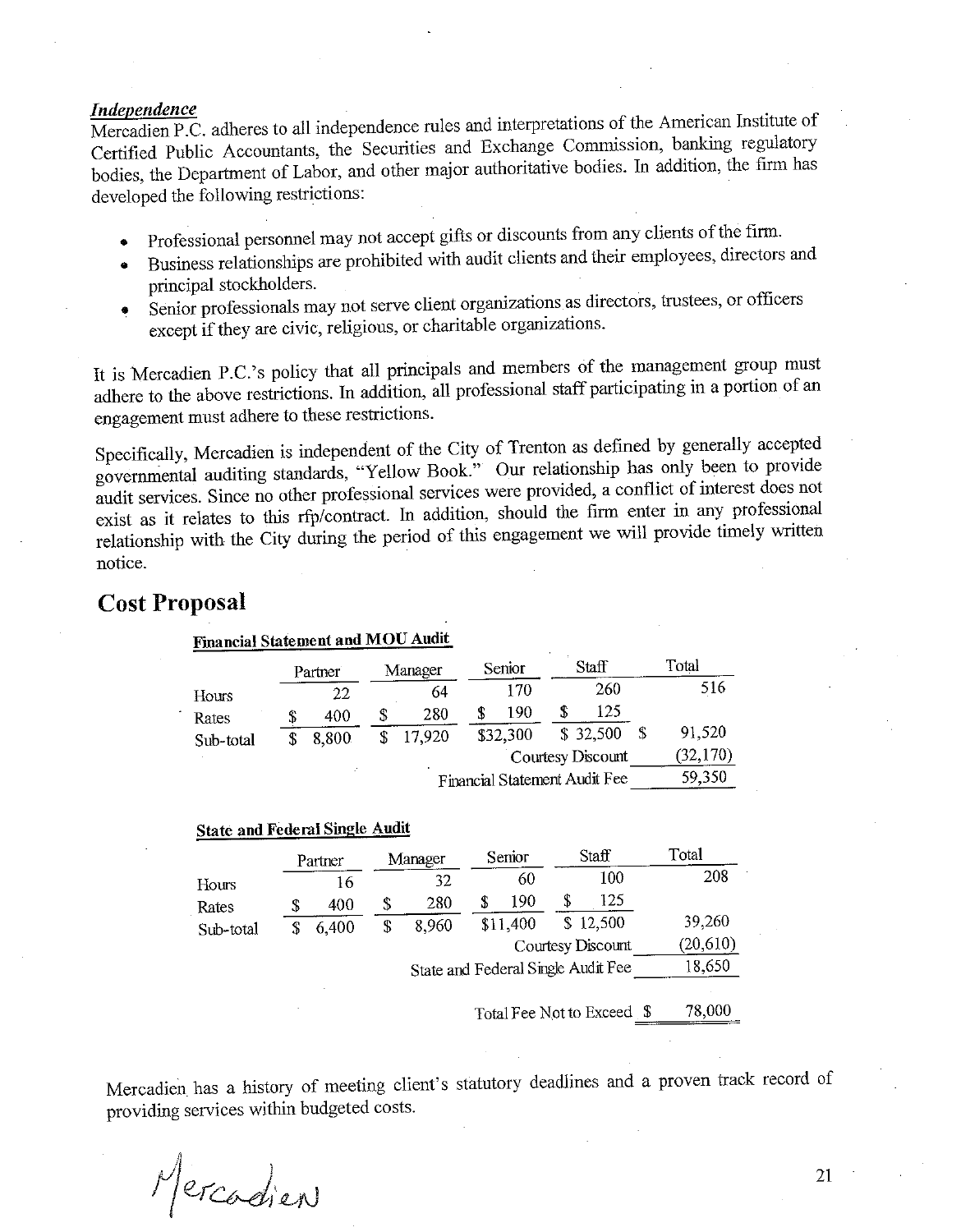## **Independence**

Mercadien P.C. adheres to all independence rules and interpretations of the American Institute of Certified Public Accountants, the Securities and Exchange Commission, banking regulatory bodies, the Department of Labor, and other major authoritative bodies. In addition, the firm has developed the following restrictions:

- Professional personnel may not accept gifts or discounts from any clients of the firm.  $\bullet$
- Business relationships are prohibited with audit clients and their employees, directors and principal stockholders.
- Senior professionals may not serve client organizations as directors, trustees, or officers  $\bullet$ except if they are civic, religious, or charitable organizations.

It is Mercadien P.C.'s policy that all principals and members of the management group must adhere to the above restrictions. In addition, all professional staff participating in a portion of an engagement must adhere to these restrictions.

Specifically, Mercadien is independent of the City of Trenton as defined by generally accepted governmental auditing standards, "Yellow Book." Our relationship has only been to provide audit services. Since no other professional services were provided, a conflict of interest does not exist as it relates to this rfp/contract. In addition, should the firm enter in any professional relationship with the City during the period of this engagement we will provide timely written notice.

# **Cost Proposal**

| <b>Financial Statement and MOU Audit</b> |         |   |         |                               |                   |          |
|------------------------------------------|---------|---|---------|-------------------------------|-------------------|----------|
|                                          | Partner |   | Manager | Senior                        | Staff             | Total    |
| Hours                                    | 22      |   | 64      | 170                           | 260               | 516      |
| Rates                                    | 400     | S | 280     | 190                           | 125               |          |
| Sub-total                                | 8,800   |   | 17,920  | \$32,300                      | \$32,500          | 91,520   |
|                                          |         |   |         |                               | Courtesy Discount | (32,170) |
|                                          |         |   |         | Financial Statement Audit Fee |                   | 59,350   |

### **State and Federal Single Audit**

|           | Partner |    | Manager                            | Senior   | Staff             | Total     |
|-----------|---------|----|------------------------------------|----------|-------------------|-----------|
| Hours     | 16      |    | 32                                 | 60       | 100               | 208       |
| Rates     | 400     | \$ | 280                                | 190      | 125               |           |
| Sub-total | 6,400   | S  | 8,960                              | \$11,400 | \$12,500          | 39,260    |
|           |         |    |                                    |          | Courtesy Discount | (20, 610) |
|           |         |    | State and Federal Single Audit Fee |          |                   | 18,650    |
|           |         |    |                                    |          |                   |           |

Total Fee Not to Exceed \$ 78,000

Mercadien has a history of meeting client's statutory deadlines and a proven track record of providing services within budgeted costs.

Mercadien

21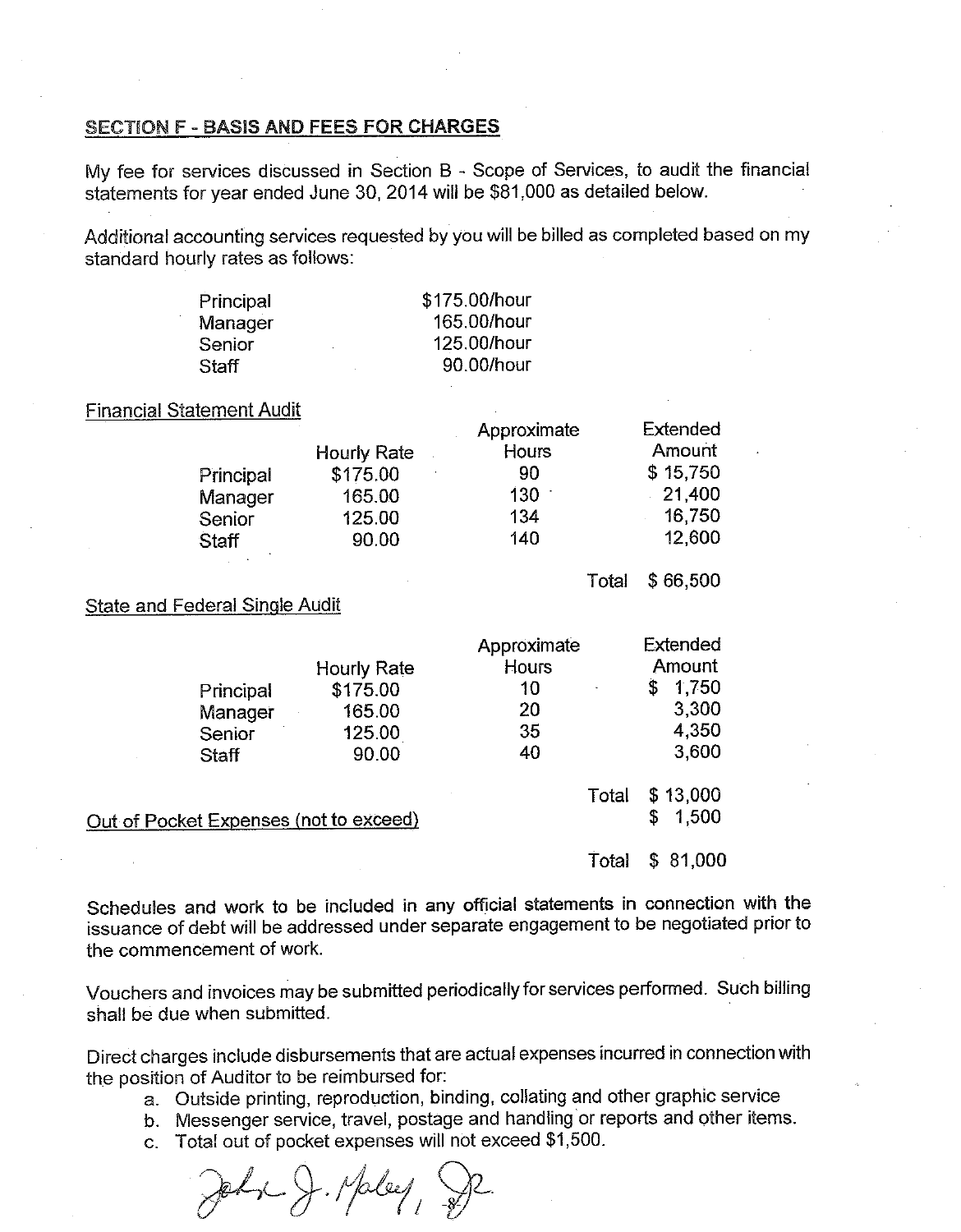## **SECTION F - BASIS AND FEES FOR CHARGES**

My fee for services discussed in Section B - Scope of Services, to audit the financial statements for year ended June 30, 2014 will be \$81,000 as detailed below.

Additional accounting services requested by you will be billed as completed based on my standard hourly rates as follows:

| Principal | \$175.00/hour |
|-----------|---------------|
| Manager   | 165.00/hour   |
| Senior    | 125.00/hour   |
| Staff     | 90.00/hour    |

**Financial Statement Audit** 

|           |             | Approximate  | Extended |
|-----------|-------------|--------------|----------|
|           | Hourly Rate | <b>Hours</b> | Amount   |
| Principal | \$175.00    | 90           | \$15,750 |
| Manager   | 165.00      | 130          | 21.400   |
| Senior    | 125.00      | 134          | 16,750   |
| Staff     | 90.00       | 140          | 12,600   |
|           |             |              |          |

Total \$66,500

**State and Federal Single Audit** 

|                                        |                    | Approximate | Extended                |
|----------------------------------------|--------------------|-------------|-------------------------|
|                                        | <b>Hourly Rate</b> | Hours       | Amount                  |
| Principal                              | \$175.00           | 10          | 1,750<br>\$             |
| Manager                                | 165.00             | 20          | 3,300                   |
| Senior                                 | 125.00             | 35          | 4.350                   |
| Staff                                  | 90.00              | 40          | 3,600                   |
| Out of Pocket Expenses (not to exceed) |                    | Total       | \$13,000<br>1,500<br>\$ |
|                                        |                    | Total       | 81,000                  |

Schedules and work to be included in any official statements in connection with the issuance of debt will be addressed under separate engagement to be negotiated prior to the commencement of work.

Vouchers and invoices may be submitted periodically for services performed. Such billing shall be due when submitted.

Direct charges include disbursements that are actual expenses incurred in connection with the position of Auditor to be reimbursed for:

- a. Outside printing, reproduction, binding, collating and other graphic service
- b. Messenger service, travel, postage and handling or reports and other items.
- c. Total out of pocket expenses will not exceed \$1,500.

John J. Maley